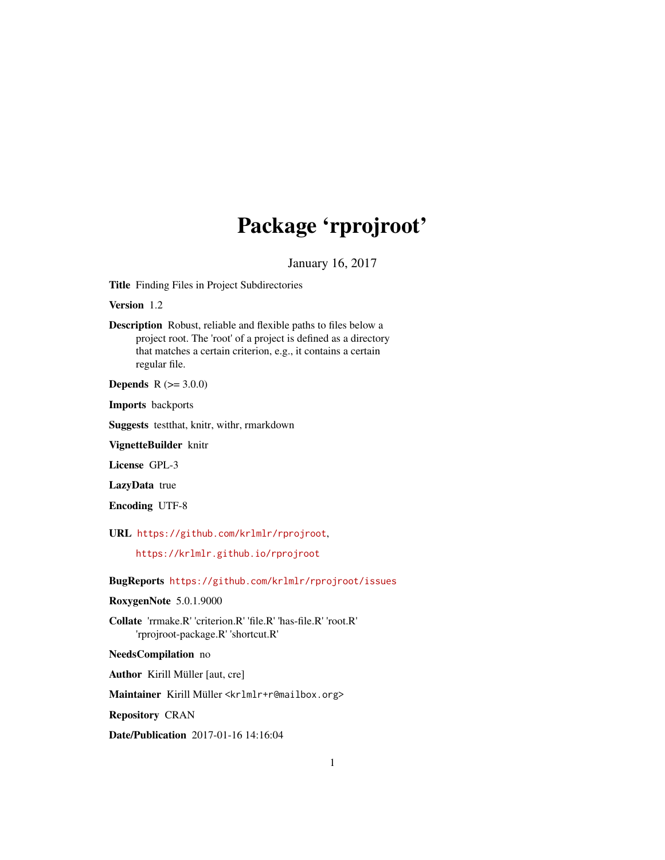## Package 'rprojroot'

January 16, 2017

<span id="page-0-0"></span>Title Finding Files in Project Subdirectories

Version 1.2

Description Robust, reliable and flexible paths to files below a project root. The 'root' of a project is defined as a directory that matches a certain criterion, e.g., it contains a certain regular file.

**Depends** R  $(>= 3.0.0)$ 

Imports backports

Suggests testthat, knitr, withr, rmarkdown

VignetteBuilder knitr

License GPL-3

LazyData true

Encoding UTF-8

URL <https://github.com/krlmlr/rprojroot>,

<https://krlmlr.github.io/rprojroot>

BugReports <https://github.com/krlmlr/rprojroot/issues>

RoxygenNote 5.0.1.9000

Collate 'rrmake.R' 'criterion.R' 'file.R' 'has-file.R' 'root.R' 'rprojroot-package.R' 'shortcut.R'

NeedsCompilation no

Author Kirill Müller [aut, cre]

Maintainer Kirill Müller <krlmlr+r@mailbox.org>

Repository CRAN

Date/Publication 2017-01-16 14:16:04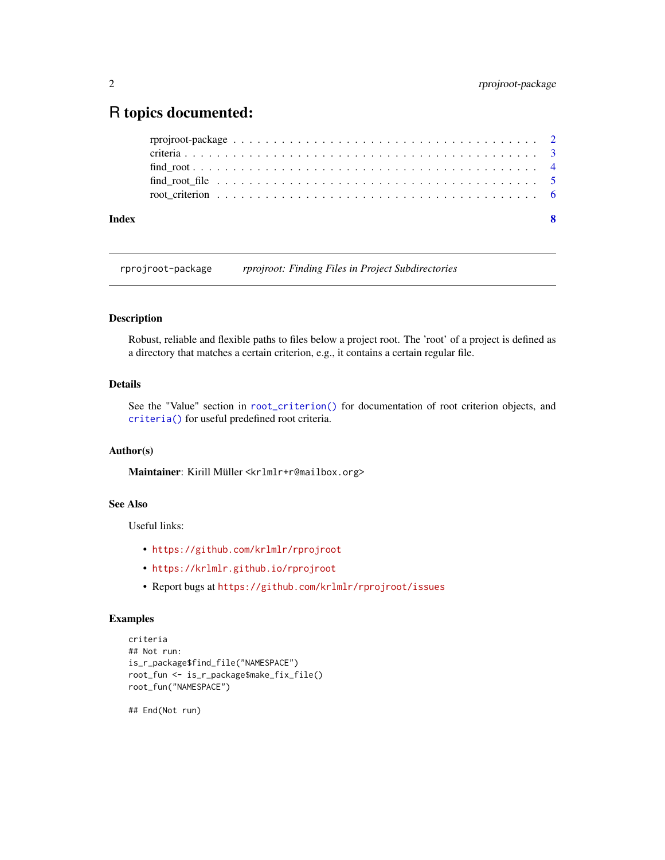### <span id="page-1-0"></span>R topics documented:

| Index |  |  |  |  |  |  |  |  |  |  |  |  |  |  |  |  |  | -8 |
|-------|--|--|--|--|--|--|--|--|--|--|--|--|--|--|--|--|--|----|
|       |  |  |  |  |  |  |  |  |  |  |  |  |  |  |  |  |  |    |
|       |  |  |  |  |  |  |  |  |  |  |  |  |  |  |  |  |  |    |
|       |  |  |  |  |  |  |  |  |  |  |  |  |  |  |  |  |  |    |
|       |  |  |  |  |  |  |  |  |  |  |  |  |  |  |  |  |  |    |
|       |  |  |  |  |  |  |  |  |  |  |  |  |  |  |  |  |  |    |

rprojroot-package *rprojroot: Finding Files in Project Subdirectories*

#### Description

Robust, reliable and flexible paths to files below a project root. The 'root' of a project is defined as a directory that matches a certain criterion, e.g., it contains a certain regular file.

#### Details

See the "Value" section in [root\\_criterion\(\)](#page-5-1) for documentation of root criterion objects, and [criteria\(\)](#page-2-1) for useful predefined root criteria.

#### Author(s)

Maintainer: Kirill Müller <krlmlr+r@mailbox.org>

#### See Also

Useful links:

- <https://github.com/krlmlr/rprojroot>
- <https://krlmlr.github.io/rprojroot>
- Report bugs at <https://github.com/krlmlr/rprojroot/issues>

#### Examples

```
criteria
## Not run:
is_r_package$find_file("NAMESPACE")
root_fun <- is_r_package$make_fix_file()
root_fun("NAMESPACE")
```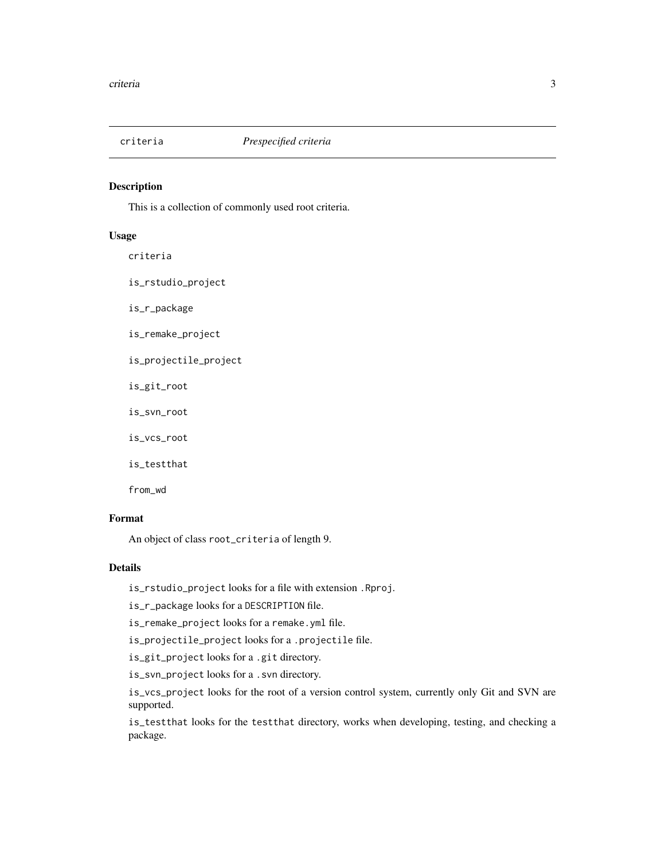<span id="page-2-1"></span><span id="page-2-0"></span>

#### Description

This is a collection of commonly used root criteria.

#### Usage

criteria

is\_rstudio\_project

is\_r\_package

is\_remake\_project

is\_projectile\_project

is\_git\_root

is\_svn\_root

is\_vcs\_root

is\_testthat

from\_wd

#### Format

An object of class root\_criteria of length 9.

#### Details

is\_rstudio\_project looks for a file with extension .Rproj.

is\_r\_package looks for a DESCRIPTION file.

is\_remake\_project looks for a remake.yml file.

is\_projectile\_project looks for a .projectile file.

is\_git\_project looks for a .git directory.

is\_svn\_project looks for a .svn directory.

is\_vcs\_project looks for the root of a version control system, currently only Git and SVN are supported.

is\_testthat looks for the testthat directory, works when developing, testing, and checking a package.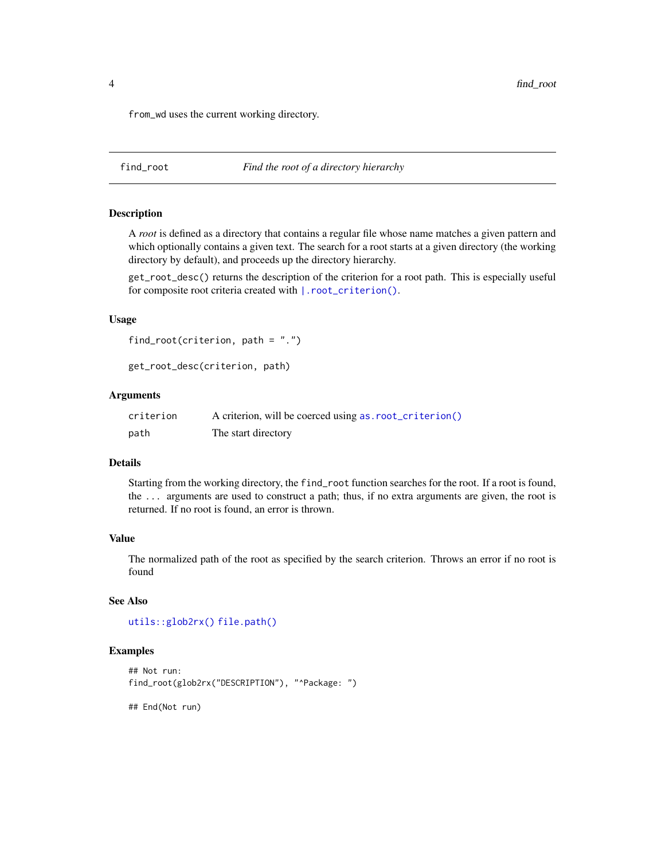<span id="page-3-0"></span>from\_wd uses the current working directory.

<span id="page-3-1"></span>find\_root *Find the root of a directory hierarchy*

#### Description

A *root* is defined as a directory that contains a regular file whose name matches a given pattern and which optionally contains a given text. The search for a root starts at a given directory (the working directory by default), and proceeds up the directory hierarchy.

get\_root\_desc() returns the description of the criterion for a root path. This is especially useful for composite root criteria created with  $\vert$ . root\_criterion().

#### Usage

```
find_root(criterion, path = ".")
```
get\_root\_desc(criterion, path)

#### Arguments

| criterion | A criterion, will be coerced using as. root_criterion() |
|-----------|---------------------------------------------------------|
| path      | The start directory                                     |

#### **Details**

Starting from the working directory, the find\_root function searches for the root. If a root is found, the ... arguments are used to construct a path; thus, if no extra arguments are given, the root is returned. If no root is found, an error is thrown.

#### Value

The normalized path of the root as specified by the search criterion. Throws an error if no root is found

#### See Also

[utils::glob2rx\(\)](#page-0-0) [file.path\(\)](#page-0-0)

#### Examples

```
## Not run:
find_root(glob2rx("DESCRIPTION"), "^Package: ")
```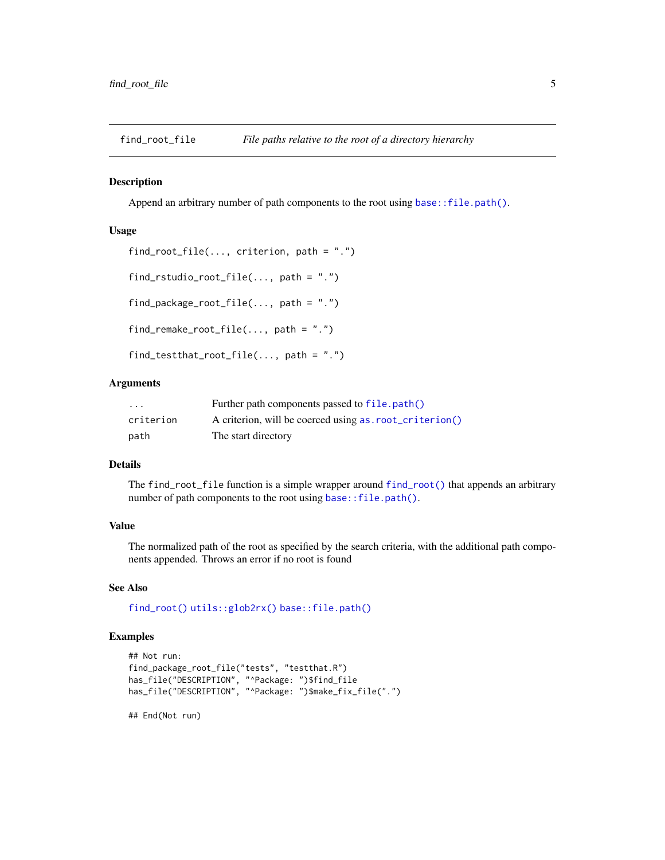<span id="page-4-0"></span>find\_root\_file *File paths relative to the root of a directory hierarchy*

#### Description

Append an arbitrary number of path components to the root using [base::file.path\(\)](#page-0-0).

#### Usage

```
find_root_file(..., criterion, path = ".")
find_rstudio_root_file(..., path = ".")
find_package_root_file(..., path = ".")
find_remake_root_file(..., path = ".")
find_testthat_root_file(..., path = ".")
```
#### Arguments

| $\cdot$   | Further path components passed to file.path()          |
|-----------|--------------------------------------------------------|
| criterion | A criterion, will be coerced using as root_criterion() |
| path      | The start directory                                    |

#### Details

The find\_root\_file function is a simple wrapper around [find\\_root\(\)](#page-3-1) that appends an arbitrary number of path components to the root using [base::file.path\(\)](#page-0-0).

#### Value

The normalized path of the root as specified by the search criteria, with the additional path components appended. Throws an error if no root is found

#### See Also

[find\\_root\(\)](#page-3-1) [utils::glob2rx\(\)](#page-0-0) [base::file.path\(\)](#page-0-0)

#### Examples

```
## Not run:
find_package_root_file("tests", "testthat.R")
has_file("DESCRIPTION", "^Package: ")$find_file
has_file("DESCRIPTION", "^Package: ")$make_fix_file(".")
```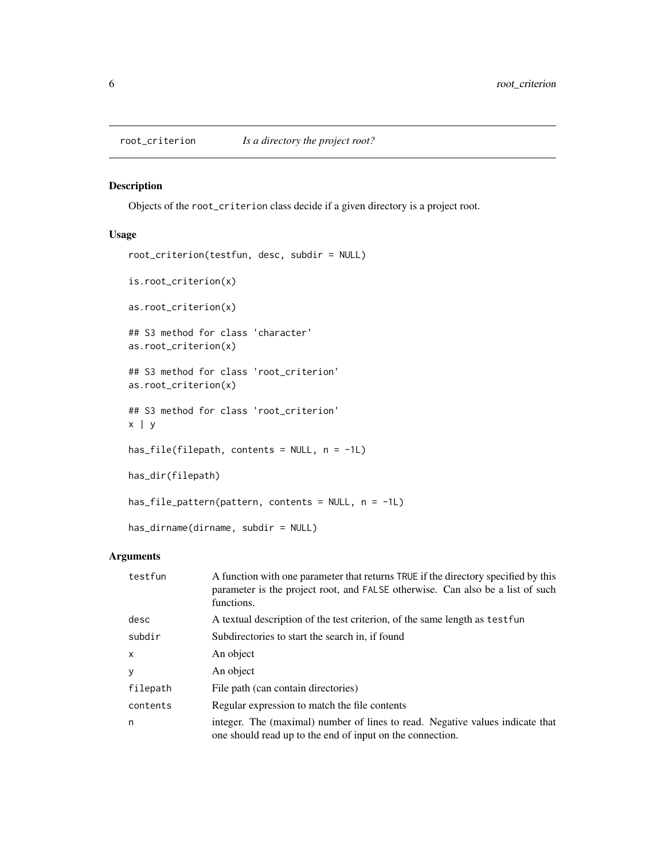<span id="page-5-1"></span><span id="page-5-0"></span>

#### <span id="page-5-2"></span>Description

Objects of the root\_criterion class decide if a given directory is a project root.

#### Usage

```
root_criterion(testfun, desc, subdir = NULL)
is.root_criterion(x)
as.root_criterion(x)
## S3 method for class 'character'
as.root_criterion(x)
## S3 method for class 'root_criterion'
as.root_criterion(x)
## S3 method for class 'root_criterion'
x | y
has_file(filepath, contents = NULL, n = -1L)
has_dir(filepath)
has_file_pattern(pattern, contents = NULL, n = -1L)
has_dirname(dirname, subdir = NULL)
```
#### Arguments

| testfun      | A function with one parameter that returns TRUE if the directory specified by this<br>parameter is the project root, and FALSE otherwise. Can also be a list of such<br>functions. |
|--------------|------------------------------------------------------------------------------------------------------------------------------------------------------------------------------------|
| desc         | A textual description of the test criterion, of the same length as test fun                                                                                                        |
| subdir       | Subdirectories to start the search in, if found                                                                                                                                    |
| $\mathsf{x}$ | An object                                                                                                                                                                          |
| y            | An object                                                                                                                                                                          |
| filepath     | File path (can contain directories)                                                                                                                                                |
| contents     | Regular expression to match the file contents                                                                                                                                      |
| n            | integer. The (maximal) number of lines to read. Negative values indicate that<br>one should read up to the end of input on the connection.                                         |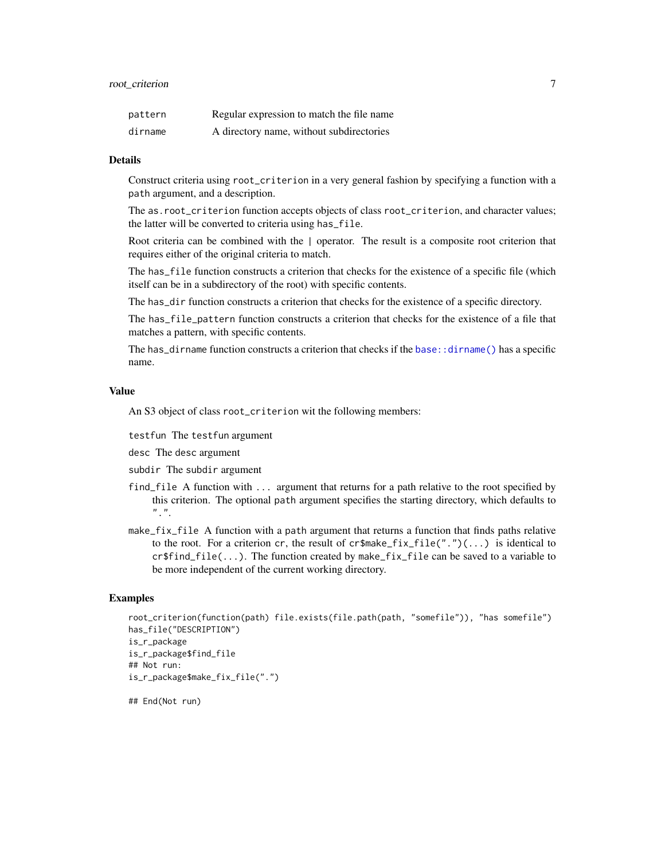#### <span id="page-6-0"></span>root\_criterion 7

| pattern | Regular expression to match the file name |
|---------|-------------------------------------------|
| dirname | A directory name, without subdirectories  |

#### Details

Construct criteria using root\_criterion in a very general fashion by specifying a function with a path argument, and a description.

The as.root\_criterion function accepts objects of class root\_criterion, and character values; the latter will be converted to criteria using has\_file.

Root criteria can be combined with the | operator. The result is a composite root criterion that requires either of the original criteria to match.

The has\_file function constructs a criterion that checks for the existence of a specific file (which itself can be in a subdirectory of the root) with specific contents.

The has\_dir function constructs a criterion that checks for the existence of a specific directory.

The has\_file\_pattern function constructs a criterion that checks for the existence of a file that matches a pattern, with specific contents.

The has  $-d$  i rname function constructs a criterion that checks if the base:  $:d$  i rname() has a specific name.

#### Value

An S3 object of class root\_criterion wit the following members:

testfun The testfun argument

desc The desc argument

subdir The subdir argument

- find\_file A function with ... argument that returns for a path relative to the root specified by this criterion. The optional path argument specifies the starting directory, which defaults to  $\frac{n}{n}$ .
- make\_fix\_file A function with a path argument that returns a function that finds paths relative to the root. For a criterion cr, the result of cr\$make\_fix\_file(".")(...) is identical to  $cr$find_file(...).$  The function created by make\_fix\_file can be saved to a variable to be more independent of the current working directory.

#### Examples

```
root_criterion(function(path) file.exists(file.path(path, "somefile")), "has somefile")
has_file("DESCRIPTION")
is_r_package
is_r_package$find_file
## Not run:
is_r_package$make_fix_file(".")
```